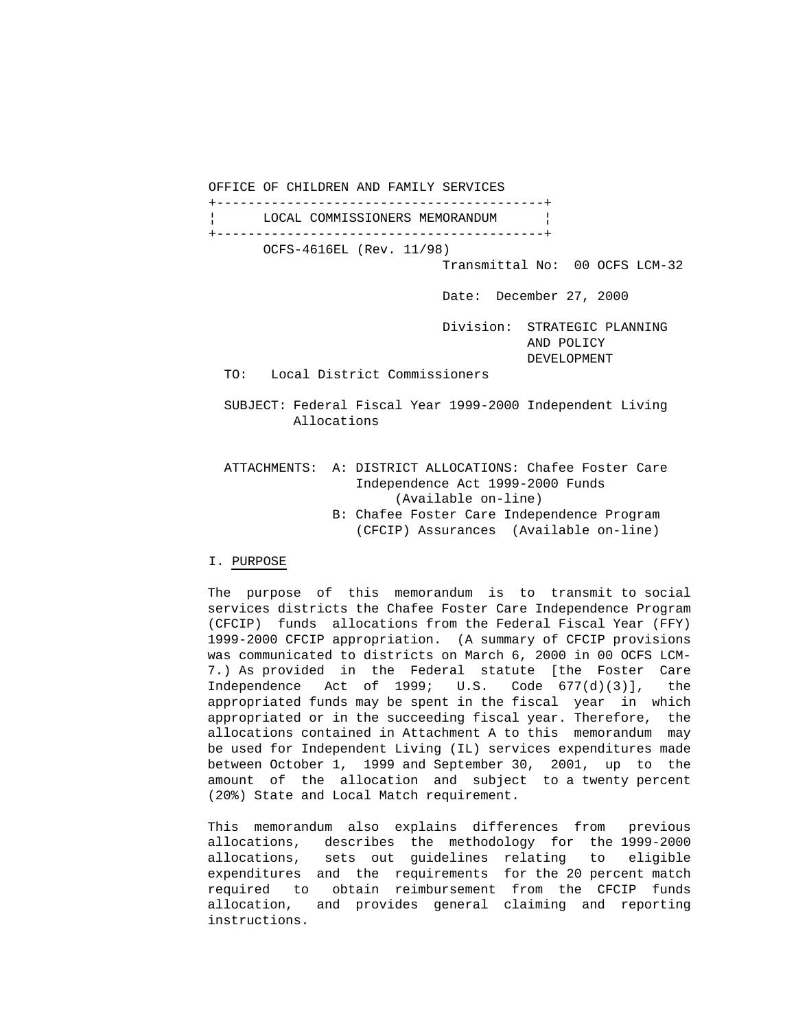OFFICE OF CHILDREN AND FAMILY SERVICES

 +------------------------------------------+ LOCAL COMMISSIONERS MEMORANDUM | +------------------------------------------+ OCFS-4616EL (Rev. 11/98)

Transmittal No: 00 OCFS LCM-32

Date: December 27, 2000

 Division: STRATEGIC PLANNING AND POLICY DEVELOPMENT

TO: Local District Commissioners

 SUBJECT: Federal Fiscal Year 1999-2000 Independent Living Allocations

 ATTACHMENTS: A: DISTRICT ALLOCATIONS: Chafee Foster Care Independence Act 1999-2000 Funds (Available on-line) B: Chafee Foster Care Independence Program (CFCIP) Assurances (Available on-line)

# I. PURPOSE

 The purpose of this memorandum is to transmit to social services districts the Chafee Foster Care Independence Program (CFCIP) funds allocations from the Federal Fiscal Year (FFY) 1999-2000 CFCIP appropriation. (A summary of CFCIP provisions was communicated to districts on March 6, 2000 in 00 OCFS LCM- 7.) As provided in the Federal statute [the Foster Care Independence Act of 1999; U.S. Code 677(d)(3)], the appropriated funds may be spent in the fiscal year in which appropriated or in the succeeding fiscal year. Therefore, the allocations contained in Attachment A to this memorandum may be used for Independent Living (IL) services expenditures made between October 1, 1999 and September 30, 2001, up to the amount of the allocation and subject to a twenty percent (20%) State and Local Match requirement.

 This memorandum also explains differences from previous allocations, describes the methodology for the 1999-2000 allocations, sets out guidelines relating to eligible expenditures and the requirements for the 20 percent match required to obtain reimbursement from the CFCIP funds allocation, and provides general claiming and reporting instructions.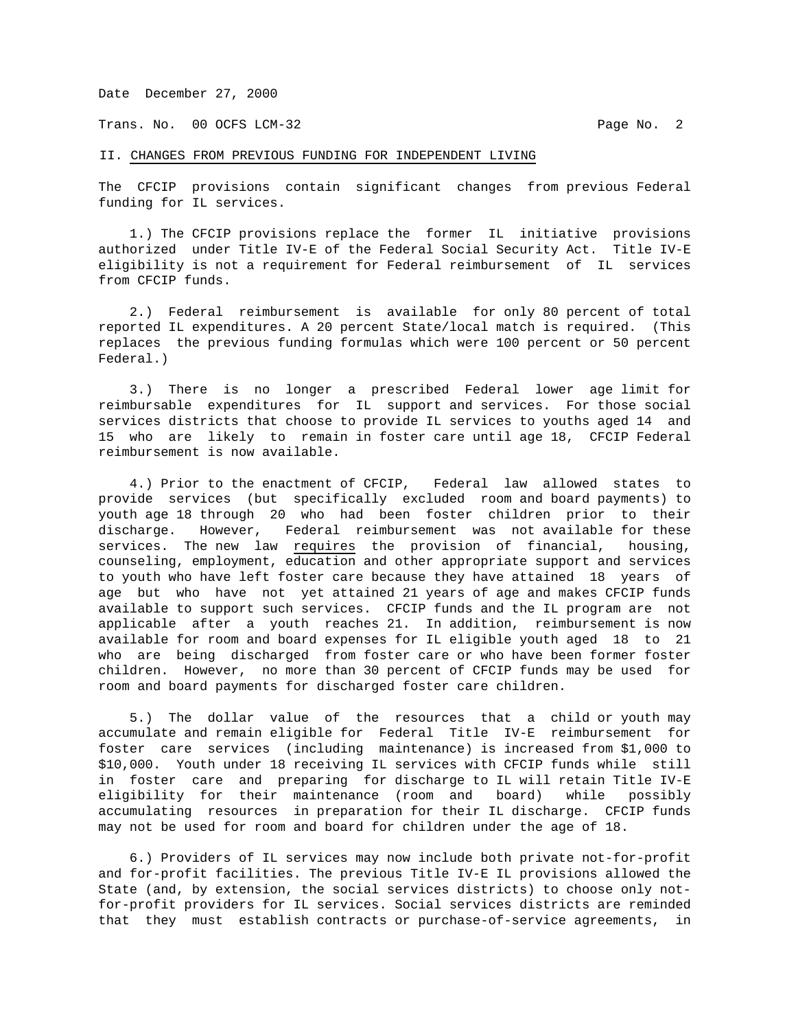Trans. No. 00 OCFS LCM-32 **Page No. 2** 

## II. CHANGES FROM PREVIOUS FUNDING FOR INDEPENDENT LIVING

The CFCIP provisions contain significant changes from previous Federal funding for IL services.

 1.) The CFCIP provisions replace the former IL initiative provisions authorized under Title IV-E of the Federal Social Security Act. Title IV-E eligibility is not a requirement for Federal reimbursement of IL services from CFCIP funds.

 2.) Federal reimbursement is available for only 80 percent of total reported IL expenditures. A 20 percent State/local match is required. (This replaces the previous funding formulas which were 100 percent or 50 percent Federal.)

 3.) There is no longer a prescribed Federal lower age limit for reimbursable expenditures for IL support and services. For those social services districts that choose to provide IL services to youths aged 14 and 15 who are likely to remain in foster care until age 18, CFCIP Federal reimbursement is now available.

 4.) Prior to the enactment of CFCIP, Federal law allowed states to provide services (but specifically excluded room and board payments) to youth age 18 through 20 who had been foster children prior to their discharge. However, Federal reimbursement was not available for these services. The new law requires the provision of financial, housing, counseling, employment, education and other appropriate support and services to youth who have left foster care because they have attained 18 years of age but who have not yet attained 21 years of age and makes CFCIP funds available to support such services. CFCIP funds and the IL program are not applicable after a youth reaches 21. In addition, reimbursement is now available for room and board expenses for IL eligible youth aged 18 to 21 who are being discharged from foster care or who have been former foster children. However, no more than 30 percent of CFCIP funds may be used for room and board payments for discharged foster care children.

 5.) The dollar value of the resources that a child or youth may accumulate and remain eligible for Federal Title IV-E reimbursement for foster care services (including maintenance) is increased from \$1,000 to \$10,000. Youth under 18 receiving IL services with CFCIP funds while still in foster care and preparing for discharge to IL will retain Title IV-E eligibility for their maintenance (room and board) while possibly accumulating resources in preparation for their IL discharge. CFCIP funds may not be used for room and board for children under the age of 18.

 6.) Providers of IL services may now include both private not-for-profit and for-profit facilities. The previous Title IV-E IL provisions allowed the State (and, by extension, the social services districts) to choose only notfor-profit providers for IL services. Social services districts are reminded that they must establish contracts or purchase-of-service agreements, in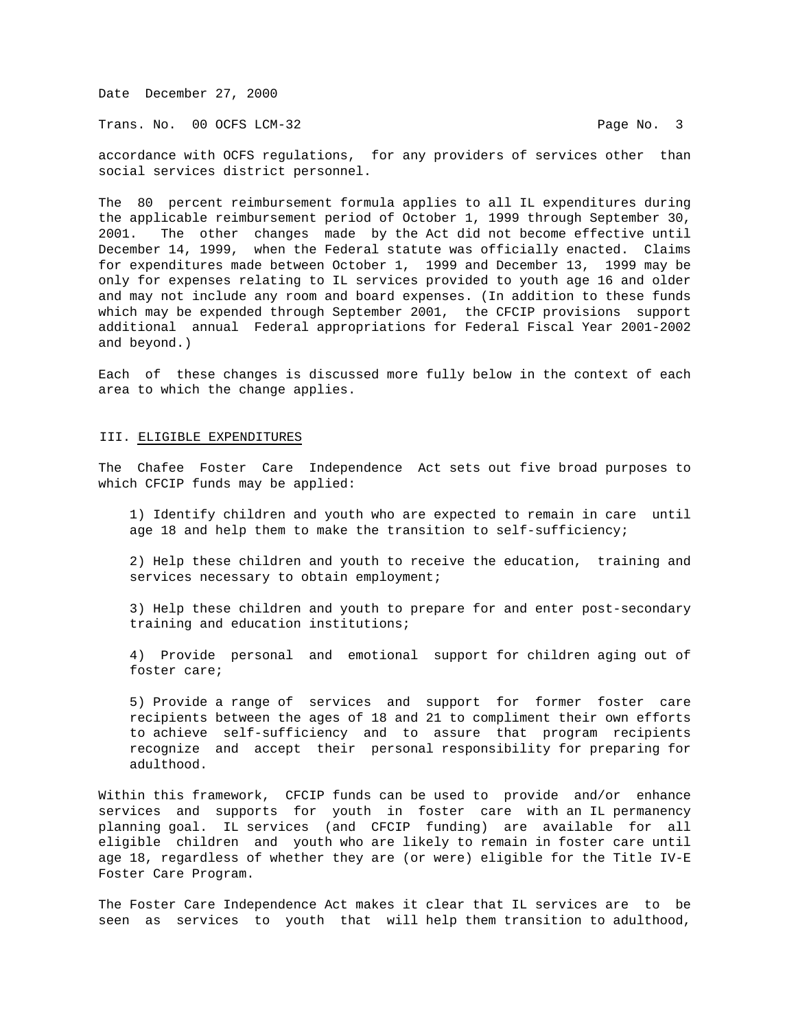Trans. No. 00 OCFS LCM-32 **Page No. 3** 

accordance with OCFS regulations, for any providers of services other than social services district personnel.

The 80 percent reimbursement formula applies to all IL expenditures during the applicable reimbursement period of October 1, 1999 through September 30, 2001. The other changes made by the Act did not become effective until December 14, 1999, when the Federal statute was officially enacted. Claims for expenditures made between October 1, 1999 and December 13, 1999 may be only for expenses relating to IL services provided to youth age 16 and older and may not include any room and board expenses. (In addition to these funds which may be expended through September 2001, the CFCIP provisions support additional annual Federal appropriations for Federal Fiscal Year 2001-2002 and beyond.)

Each of these changes is discussed more fully below in the context of each area to which the change applies.

## III. ELIGIBLE EXPENDITURES

The Chafee Foster Care Independence Act sets out five broad purposes to which CFCIP funds may be applied:

 1) Identify children and youth who are expected to remain in care until age 18 and help them to make the transition to self-sufficiency;

 2) Help these children and youth to receive the education, training and services necessary to obtain employment;

 3) Help these children and youth to prepare for and enter post-secondary training and education institutions;

 4) Provide personal and emotional support for children aging out of foster care;

 5) Provide a range of services and support for former foster care recipients between the ages of 18 and 21 to compliment their own efforts to achieve self-sufficiency and to assure that program recipients recognize and accept their personal responsibility for preparing for adulthood.

Within this framework, CFCIP funds can be used to provide and/or enhance services and supports for youth in foster care with an IL permanency planning goal. IL services (and CFCIP funding) are available for all eligible children and youth who are likely to remain in foster care until age 18, regardless of whether they are (or were) eligible for the Title IV-E Foster Care Program.

The Foster Care Independence Act makes it clear that IL services are to be seen as services to youth that will help them transition to adulthood,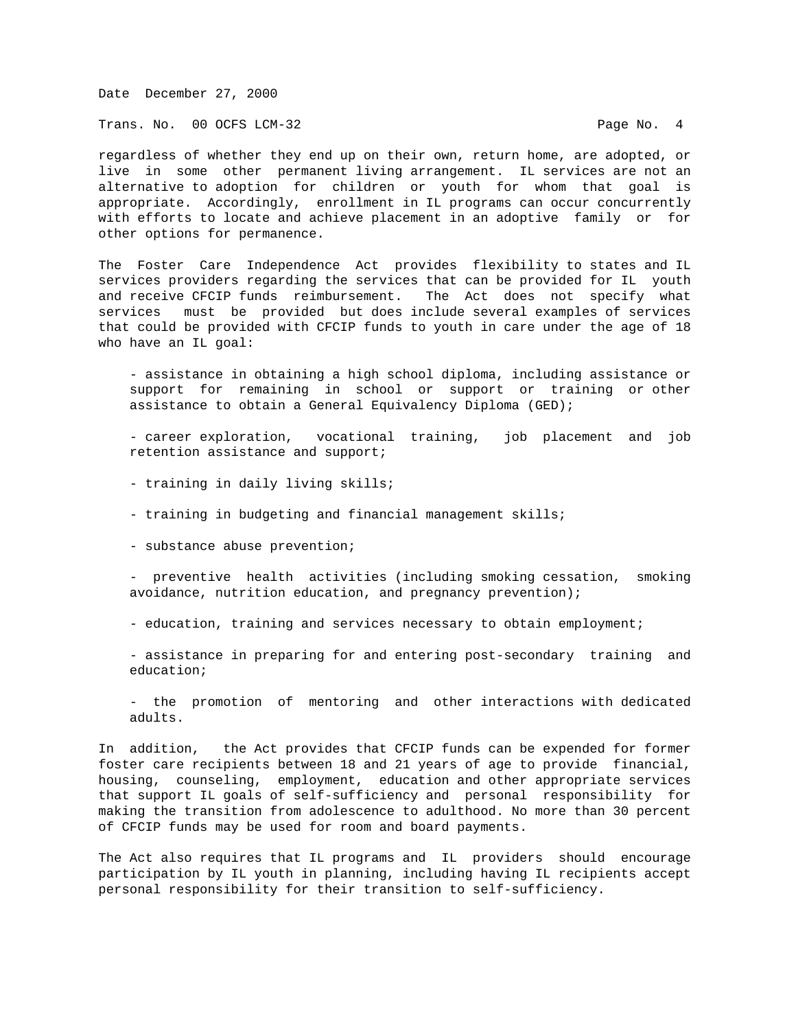Trans. No. 00 OCFS LCM-32 **Page No. 4** 

regardless of whether they end up on their own, return home, are adopted, or live in some other permanent living arrangement. IL services are not an alternative to adoption for children or youth for whom that goal is appropriate. Accordingly, enrollment in IL programs can occur concurrently with efforts to locate and achieve placement in an adoptive family or for other options for permanence.

The Foster Care Independence Act provides flexibility to states and IL services providers regarding the services that can be provided for IL youth and receive CFCIP funds reimbursement. The Act does not specify what services must be provided but does include several examples of services that could be provided with CFCIP funds to youth in care under the age of 18 who have an IL goal:

 - assistance in obtaining a high school diploma, including assistance or support for remaining in school or support or training or other assistance to obtain a General Equivalency Diploma (GED);

 - career exploration, vocational training, job placement and job retention assistance and support;

- training in daily living skills;
- training in budgeting and financial management skills;
- substance abuse prevention;

 - preventive health activities (including smoking cessation, smoking avoidance, nutrition education, and pregnancy prevention);

- education, training and services necessary to obtain employment;

 - assistance in preparing for and entering post-secondary training and education;

 - the promotion of mentoring and other interactions with dedicated adults.

In addition, the Act provides that CFCIP funds can be expended for former foster care recipients between 18 and 21 years of age to provide financial, housing, counseling, employment, education and other appropriate services that support IL goals of self-sufficiency and personal responsibility for making the transition from adolescence to adulthood. No more than 30 percent of CFCIP funds may be used for room and board payments.

The Act also requires that IL programs and IL providers should encourage participation by IL youth in planning, including having IL recipients accept personal responsibility for their transition to self-sufficiency.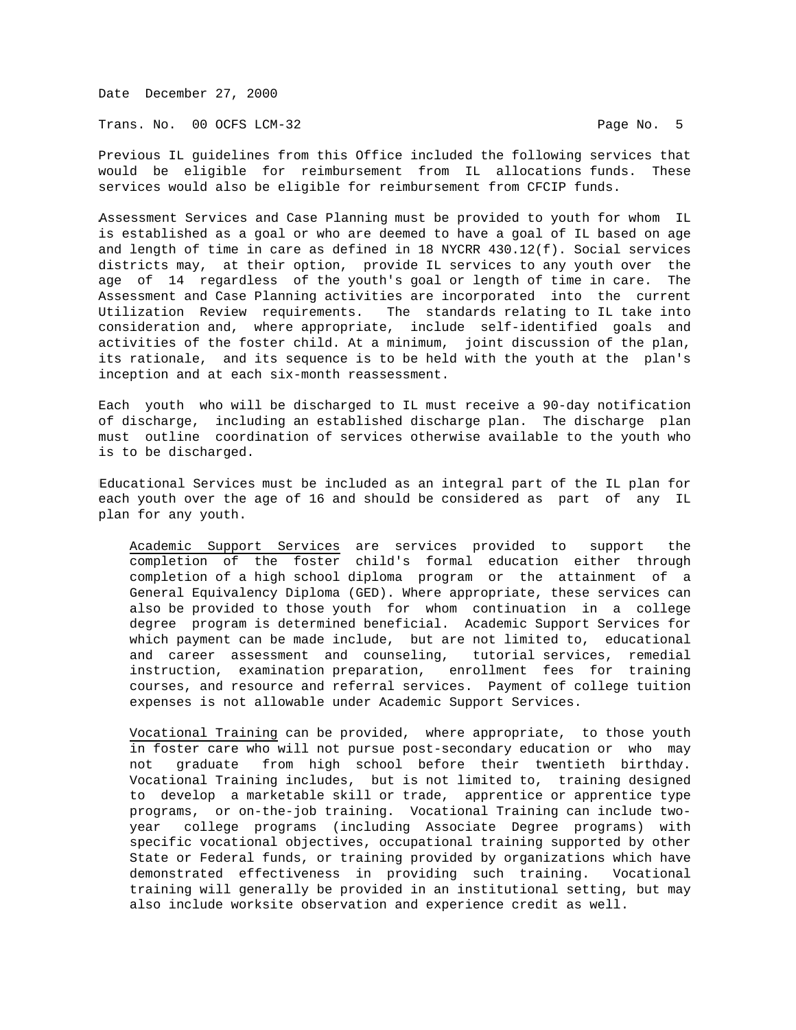Trans. No. 00 OCFS LCM-32 Page No. 5

Previous IL guidelines from this Office included the following services that would be eligible for reimbursement from IL allocations funds. These services would also be eligible for reimbursement from CFCIP funds.

Assessment Services and Case Planning must be provided to youth for whom IL is established as a goal or who are deemed to have a goal of IL based on age and length of time in care as defined in 18 NYCRR 430.12(f). Social services districts may, at their option, provide IL services to any youth over the age of 14 regardless of the youth's goal or length of time in care. The Assessment and Case Planning activities are incorporated into the current Utilization Review requirements. The standards relating to IL take into consideration and, where appropriate, include self-identified goals and activities of the foster child. At a minimum, joint discussion of the plan, its rationale, and its sequence is to be held with the youth at the plan's inception and at each six-month reassessment.

Each youth who will be discharged to IL must receive a 90-day notification of discharge, including an established discharge plan. The discharge plan must outline coordination of services otherwise available to the youth who is to be discharged.

Educational Services must be included as an integral part of the IL plan for each youth over the age of 16 and should be considered as part of any IL plan for any youth.

 Academic Support Services are services provided to support the completion of the foster child's formal education either through completion of a high school diploma program or the attainment of a General Equivalency Diploma (GED). Where appropriate, these services can also be provided to those youth for whom continuation in a college degree program is determined beneficial. Academic Support Services for which payment can be made include, but are not limited to, educational and career assessment and counseling, tutorial services, remedial instruction, examination preparation, enrollment fees for training courses, and resource and referral services. Payment of college tuition expenses is not allowable under Academic Support Services.

 Vocational Training can be provided, where appropriate, to those youth in foster care who will not pursue post-secondary education or who may not graduate from high school before their twentieth birthday. Vocational Training includes, but is not limited to, training designed to develop a marketable skill or trade, apprentice or apprentice type programs, or on-the-job training. Vocational Training can include two year college programs (including Associate Degree programs) with specific vocational objectives, occupational training supported by other State or Federal funds, or training provided by organizations which have demonstrated effectiveness in providing such training. Vocational training will generally be provided in an institutional setting, but may also include worksite observation and experience credit as well.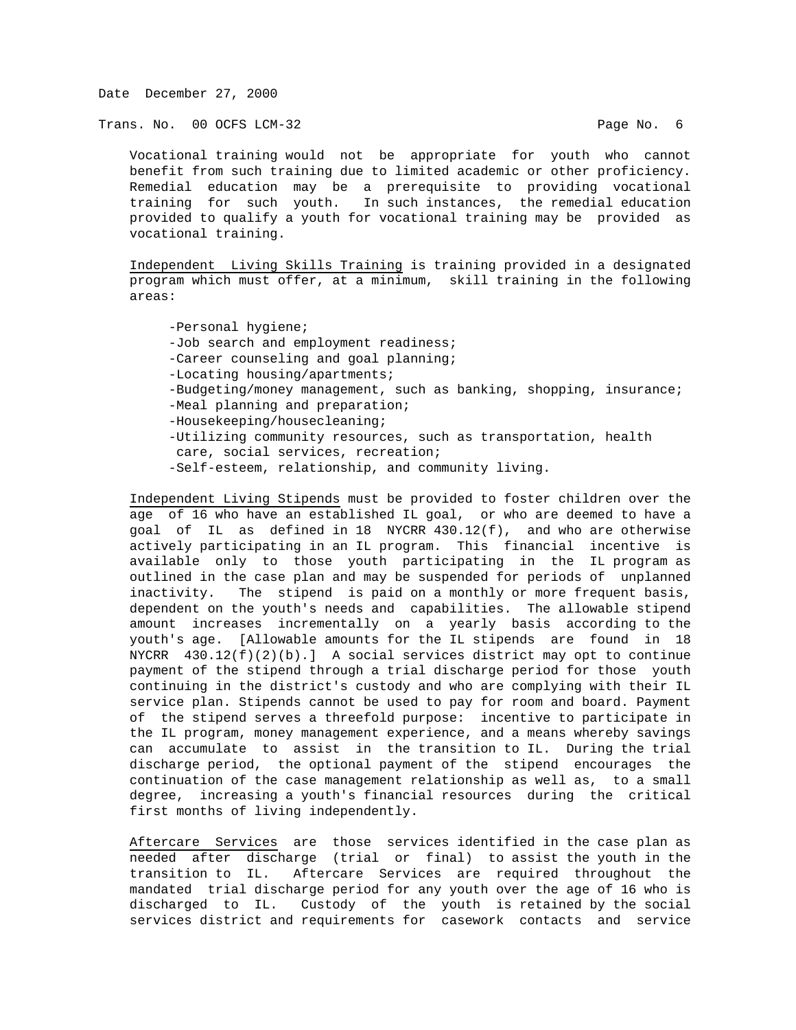Trans. No. 00 OCFS LCM-32 **Page No. 6** 

 Vocational training would not be appropriate for youth who cannot benefit from such training due to limited academic or other proficiency. Remedial education may be a prerequisite to providing vocational training for such youth. In such instances, the remedial education provided to qualify a youth for vocational training may be provided as vocational training.

 Independent Living Skills Training is training provided in a designated program which must offer, at a minimum, skill training in the following areas:

 -Personal hygiene; -Job search and employment readiness; -Career counseling and goal planning; -Locating housing/apartments; -Budgeting/money management, such as banking, shopping, insurance; -Meal planning and preparation; -Housekeeping/housecleaning; -Utilizing community resources, such as transportation, health care, social services, recreation; -Self-esteem, relationship, and community living.

 Independent Living Stipends must be provided to foster children over the age of 16 who have an established IL goal, or who are deemed to have a goal of IL as defined in 18 NYCRR 430.12(f), and who are otherwise actively participating in an IL program. This financial incentive is available only to those youth participating in the IL program as outlined in the case plan and may be suspended for periods of unplanned inactivity. The stipend is paid on a monthly or more frequent basis, dependent on the youth's needs and capabilities. The allowable stipend amount increases incrementally on a yearly basis according to the youth's age. [Allowable amounts for the IL stipends are found in 18 NYCRR  $430.12(f)(2)(b).$  A social services district may opt to continue payment of the stipend through a trial discharge period for those youth continuing in the district's custody and who are complying with their IL service plan. Stipends cannot be used to pay for room and board. Payment of the stipend serves a threefold purpose: incentive to participate in the IL program, money management experience, and a means whereby savings can accumulate to assist in the transition to IL. During the trial discharge period, the optional payment of the stipend encourages the continuation of the case management relationship as well as, to a small degree, increasing a youth's financial resources during the critical first months of living independently.

 Aftercare Services are those services identified in the case plan as needed after discharge (trial or final) to assist the youth in the transition to IL. Aftercare Services are required throughout the mandated trial discharge period for any youth over the age of 16 who is discharged to IL. Custody of the youth is retained by the social services district and requirements for casework contacts and service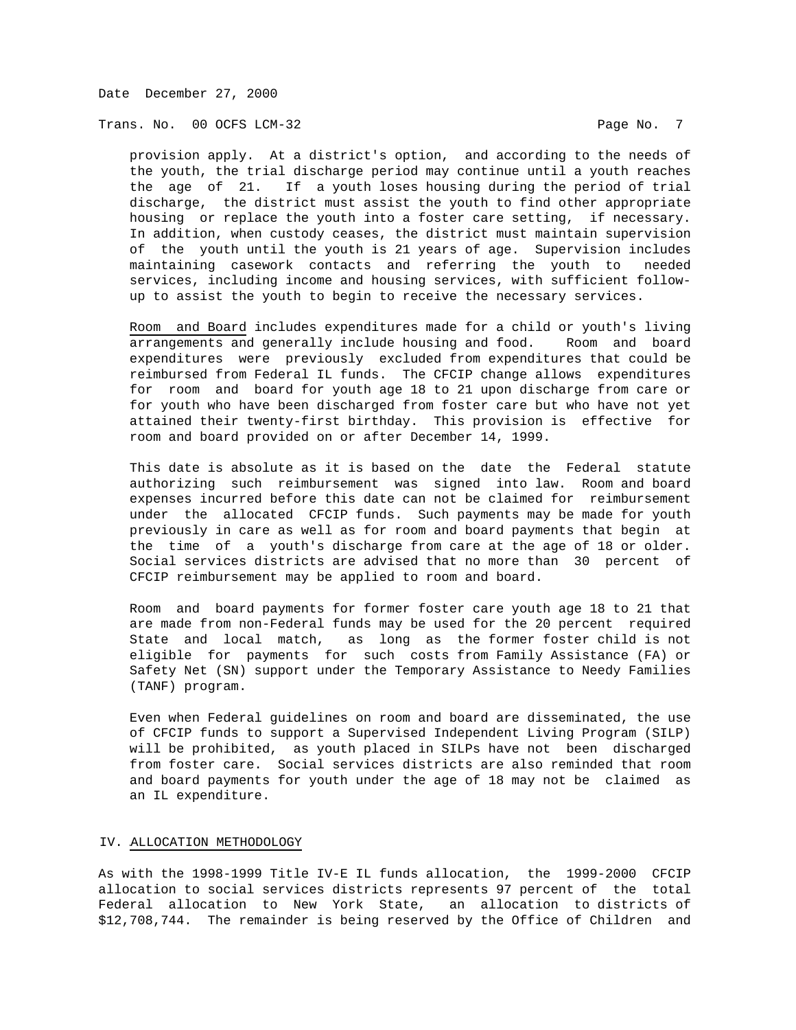Trans. No. 00 OCFS LCM-32 **Page No. 7** 

 provision apply. At a district's option, and according to the needs of the youth, the trial discharge period may continue until a youth reaches the age of 21. If a youth loses housing during the period of trial discharge, the district must assist the youth to find other appropriate housing or replace the youth into a foster care setting, if necessary. In addition, when custody ceases, the district must maintain supervision of the youth until the youth is 21 years of age. Supervision includes maintaining casework contacts and referring the youth to needed services, including income and housing services, with sufficient follow up to assist the youth to begin to receive the necessary services.

 Room and Board includes expenditures made for a child or youth's living arrangements and generally include housing and food. Room and board expenditures were previously excluded from expenditures that could be reimbursed from Federal IL funds. The CFCIP change allows expenditures for room and board for youth age 18 to 21 upon discharge from care or for youth who have been discharged from foster care but who have not yet attained their twenty-first birthday. This provision is effective for room and board provided on or after December 14, 1999.

 This date is absolute as it is based on the date the Federal statute authorizing such reimbursement was signed into law. Room and board expenses incurred before this date can not be claimed for reimbursement under the allocated CFCIP funds. Such payments may be made for youth previously in care as well as for room and board payments that begin at the time of a youth's discharge from care at the age of 18 or older. Social services districts are advised that no more than 30 percent of CFCIP reimbursement may be applied to room and board.

 Room and board payments for former foster care youth age 18 to 21 that are made from non-Federal funds may be used for the 20 percent required State and local match, as long as the former foster child is not eligible for payments for such costs from Family Assistance (FA) or Safety Net (SN) support under the Temporary Assistance to Needy Families (TANF) program.

 Even when Federal guidelines on room and board are disseminated, the use of CFCIP funds to support a Supervised Independent Living Program (SILP) will be prohibited, as youth placed in SILPs have not been discharged from foster care. Social services districts are also reminded that room and board payments for youth under the age of 18 may not be claimed as an IL expenditure.

# IV. ALLOCATION METHODOLOGY

As with the 1998-1999 Title IV-E IL funds allocation, the 1999-2000 CFCIP allocation to social services districts represents 97 percent of the total Federal allocation to New York State, an allocation to districts of \$12,708,744. The remainder is being reserved by the Office of Children and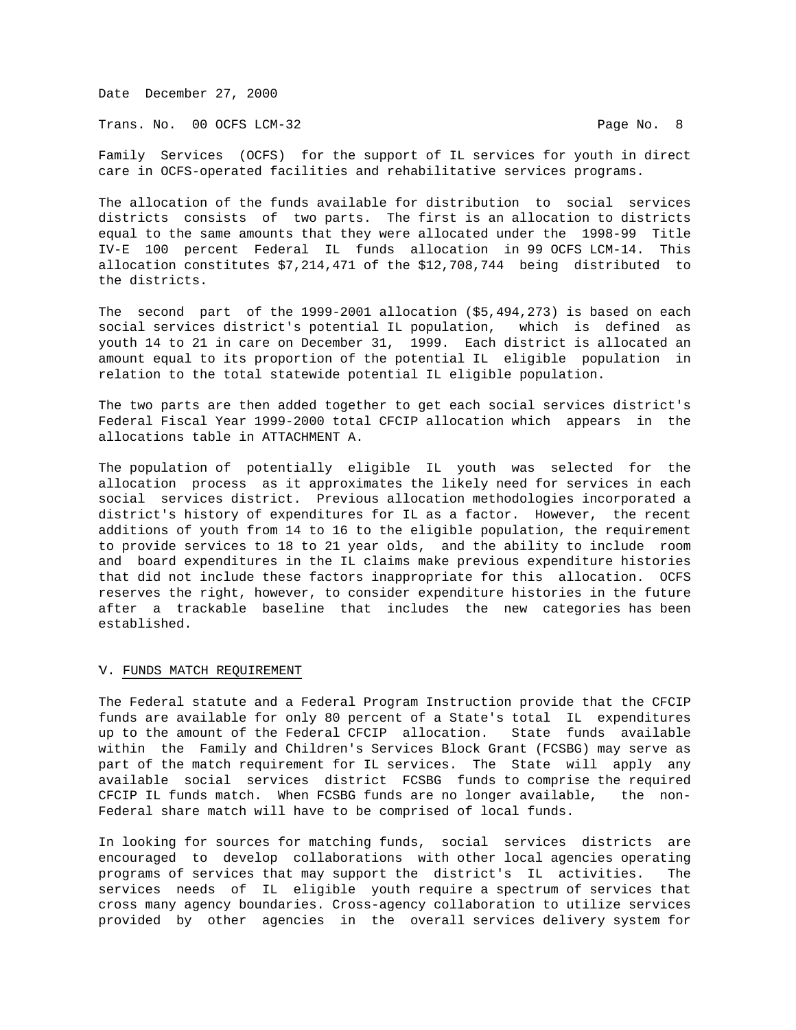Trans. No. 00 OCFS LCM-32 **Page No. 8** 

Family Services (OCFS) for the support of IL services for youth in direct care in OCFS-operated facilities and rehabilitative services programs.

The allocation of the funds available for distribution to social services districts consists of two parts. The first is an allocation to districts equal to the same amounts that they were allocated under the 1998-99 Title IV-E 100 percent Federal IL funds allocation in 99 OCFS LCM-14. This allocation constitutes \$7,214,471 of the \$12,708,744 being distributed to the districts.

The second part of the 1999-2001 allocation (\$5,494,273) is based on each social services district's potential IL population, which is defined as youth 14 to 21 in care on December 31, 1999. Each district is allocated an amount equal to its proportion of the potential IL eligible population in relation to the total statewide potential IL eligible population.

The two parts are then added together to get each social services district's Federal Fiscal Year 1999-2000 total CFCIP allocation which appears in the allocations table in ATTACHMENT A.

The population of potentially eligible IL youth was selected for the allocation process as it approximates the likely need for services in each social services district. Previous allocation methodologies incorporated a district's history of expenditures for IL as a factor. However, the recent additions of youth from 14 to 16 to the eligible population, the requirement to provide services to 18 to 21 year olds, and the ability to include room and board expenditures in the IL claims make previous expenditure histories that did not include these factors inappropriate for this allocation. OCFS reserves the right, however, to consider expenditure histories in the future after a trackable baseline that includes the new categories has been established.

#### V. FUNDS MATCH REQUIREMENT

The Federal statute and a Federal Program Instruction provide that the CFCIP funds are available for only 80 percent of a State's total IL expenditures up to the amount of the Federal CFCIP allocation. State funds available within the Family and Children's Services Block Grant (FCSBG) may serve as part of the match requirement for IL services. The State will apply any available social services district FCSBG funds to comprise the required CFCIP IL funds match. When FCSBG funds are no longer available, the non-Federal share match will have to be comprised of local funds.

In looking for sources for matching funds, social services districts are encouraged to develop collaborations with other local agencies operating programs of services that may support the district's IL activities. The services needs of IL eligible youth require a spectrum of services that cross many agency boundaries. Cross-agency collaboration to utilize services provided by other agencies in the overall services delivery system for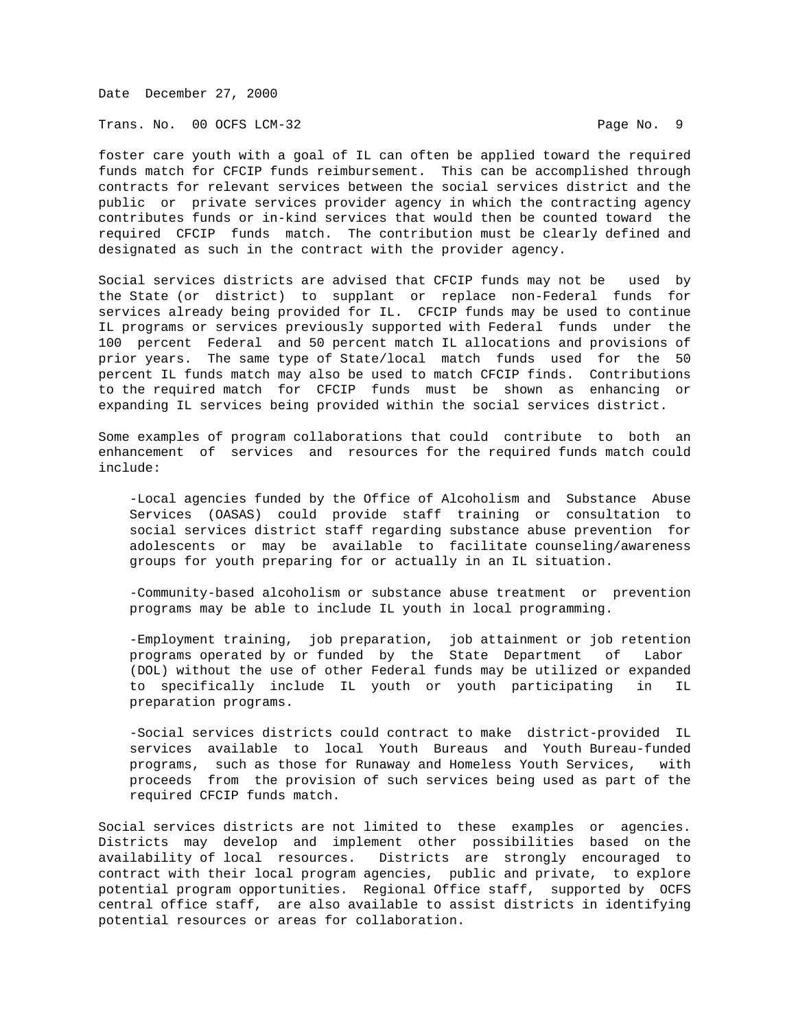Trans. No. 00 OCFS LCM-32 Page No. 9

foster care youth with a goal of IL can often be applied toward the required funds match for CFCIP funds reimbursement. This can be accomplished through contracts for relevant services between the social services district and the public or private services provider agency in which the contracting agency contributes funds or in-kind services that would then be counted toward the required CFCIP funds match. The contribution must be clearly defined and designated as such in the contract with the provider agency.

Social services districts are advised that CFCIP funds may not be used by the State (or district) to supplant or replace non-Federal funds for services already being provided for IL. CFCIP funds may be used to continue IL programs or services previously supported with Federal funds under the 100 percent Federal and 50 percent match IL allocations and provisions of prior years. The same type of State/local match funds used for the 50 percent IL funds match may also be used to match CFCIP finds. Contributions to the required match for CFCIP funds must be shown as enhancing or expanding IL services being provided within the social services district.

Some examples of program collaborations that could contribute to both an enhancement of services and resources for the required funds match could include:

 -Local agencies funded by the Office of Alcoholism and Substance Abuse Services (OASAS) could provide staff training or consultation to social services district staff regarding substance abuse prevention for adolescents or may be available to facilitate counseling/awareness groups for youth preparing for or actually in an IL situation.

 -Community-based alcoholism or substance abuse treatment or prevention programs may be able to include IL youth in local programming.

 -Employment training, job preparation, job attainment or job retention programs operated by or funded by the State Department of Labor (DOL) without the use of other Federal funds may be utilized or expanded to specifically include IL youth or youth participating in IL preparation programs.

 -Social services districts could contract to make district-provided IL services available to local Youth Bureaus and Youth Bureau-funded programs, such as those for Runaway and Homeless Youth Services, with proceeds from the provision of such services being used as part of the required CFCIP funds match.

Social services districts are not limited to these examples or agencies. Districts may develop and implement other possibilities based on the availability of local resources. Districts are strongly encouraged to contract with their local program agencies, public and private, to explore potential program opportunities. Regional Office staff, supported by OCFS central office staff, are also available to assist districts in identifying potential resources or areas for collaboration.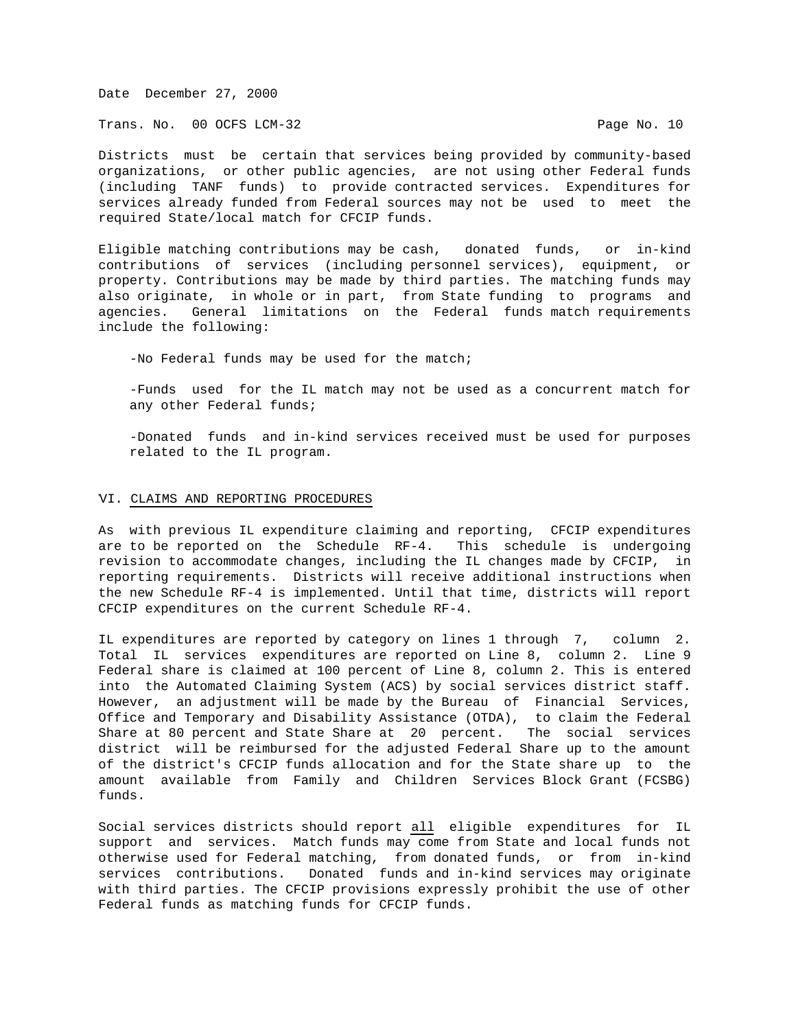Trans. No. 00 OCFS LCM-32 **Page No. 10** 

Districts must be certain that services being provided by community-based organizations, or other public agencies, are not using other Federal funds (including TANF funds) to provide contracted services. Expenditures for services already funded from Federal sources may not be used to meet the required State/local match for CFCIP funds.

Eligible matching contributions may be cash, donated funds, or in-kind contributions of services (including personnel services), equipment, or property. Contributions may be made by third parties. The matching funds may also originate, in whole or in part, from State funding to programs and agencies. General limitations on the Federal funds match requirements include the following:

-No Federal funds may be used for the match;

 -Funds used for the IL match may not be used as a concurrent match for any other Federal funds;

 -Donated funds and in-kind services received must be used for purposes related to the IL program.

### VI. CLAIMS AND REPORTING PROCEDURES

As with previous IL expenditure claiming and reporting, CFCIP expenditures are to be reported on the Schedule RF-4. This schedule is undergoing revision to accommodate changes, including the IL changes made by CFCIP, in reporting requirements. Districts will receive additional instructions when the new Schedule RF-4 is implemented. Until that time, districts will report CFCIP expenditures on the current Schedule RF-4.

IL expenditures are reported by category on lines 1 through 7, column 2. Total IL services expenditures are reported on Line 8, column 2. Line 9 Federal share is claimed at 100 percent of Line 8, column 2. This is entered into the Automated Claiming System (ACS) by social services district staff. However, an adjustment will be made by the Bureau of Financial Services, Office and Temporary and Disability Assistance (OTDA), to claim the Federal Share at 80 percent and State Share at 20 percent. The social services district will be reimbursed for the adjusted Federal Share up to the amount of the district's CFCIP funds allocation and for the State share up to the amount available from Family and Children Services Block Grant (FCSBG) funds.

Social services districts should report all eligible expenditures for IL support and services. Match funds may come from State and local funds not otherwise used for Federal matching, from donated funds, or from in-kind services contributions. Donated funds and in-kind services may originate with third parties. The CFCIP provisions expressly prohibit the use of other Federal funds as matching funds for CFCIP funds.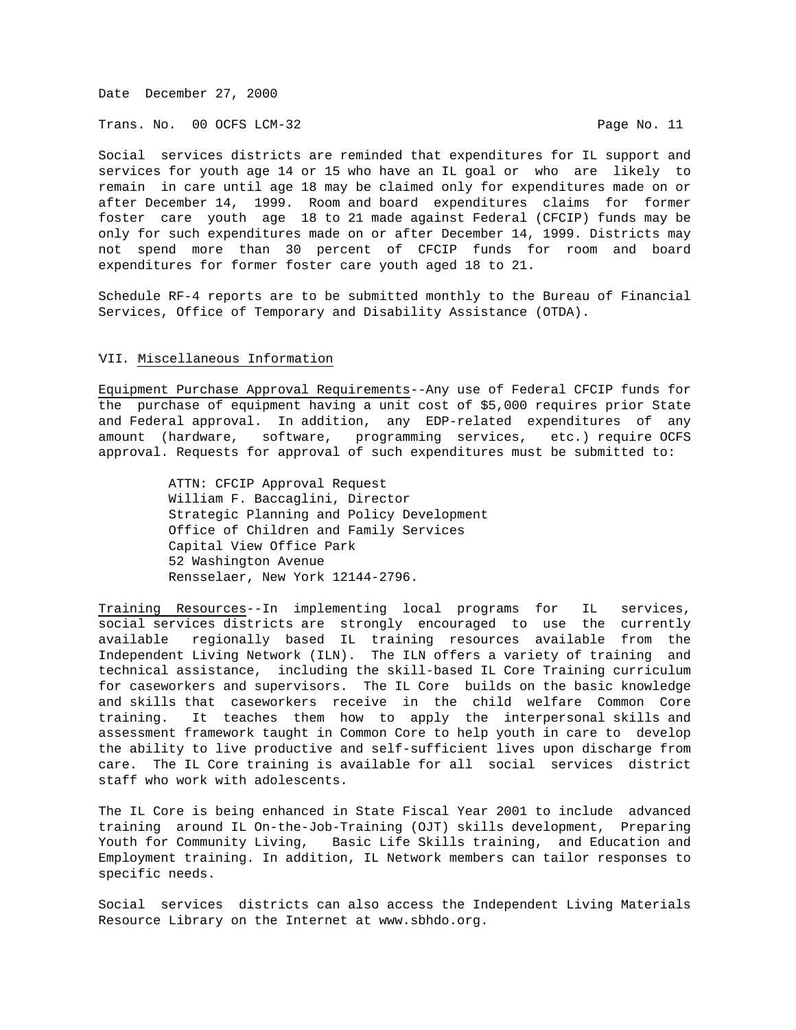Trans. No. 00 OCFS LCM-32 **Page No. 11** 

Social services districts are reminded that expenditures for IL support and services for youth age 14 or 15 who have an IL goal or who are likely to remain in care until age 18 may be claimed only for expenditures made on or after December 14, 1999. Room and board expenditures claims for former foster care youth age 18 to 21 made against Federal (CFCIP) funds may be only for such expenditures made on or after December 14, 1999. Districts may not spend more than 30 percent of CFCIP funds for room and board expenditures for former foster care youth aged 18 to 21.

Schedule RF-4 reports are to be submitted monthly to the Bureau of Financial Services, Office of Temporary and Disability Assistance (OTDA).

## VII. Miscellaneous Information

Equipment Purchase Approval Requirements--Any use of Federal CFCIP funds for the purchase of equipment having a unit cost of \$5,000 requires prior State and Federal approval. In addition, any EDP-related expenditures of any amount (hardware, software, programming services, etc.) require OCFS approval. Requests for approval of such expenditures must be submitted to:

> ATTN: CFCIP Approval Request William F. Baccaglini, Director Strategic Planning and Policy Development Office of Children and Family Services Capital View Office Park 52 Washington Avenue Rensselaer, New York 12144-2796.

Training Resources--In implementing local programs for IL services, social services districts are strongly encouraged to use the currently available regionally based IL training resources available from the Independent Living Network (ILN). The ILN offers a variety of training and technical assistance, including the skill-based IL Core Training curriculum for caseworkers and supervisors. The IL Core builds on the basic knowledge and skills that caseworkers receive in the child welfare Common Core training. It teaches them how to apply the interpersonal skills and assessment framework taught in Common Core to help youth in care to develop the ability to live productive and self-sufficient lives upon discharge from care. The IL Core training is available for all social services district staff who work with adolescents.

The IL Core is being enhanced in State Fiscal Year 2001 to include advanced training around IL On-the-Job-Training (OJT) skills development, Preparing Youth for Community Living, Basic Life Skills training, and Education and Employment training. In addition, IL Network members can tailor responses to specific needs.

Social services districts can also access the Independent Living Materials Resource Library on the Internet at www.sbhdo.org.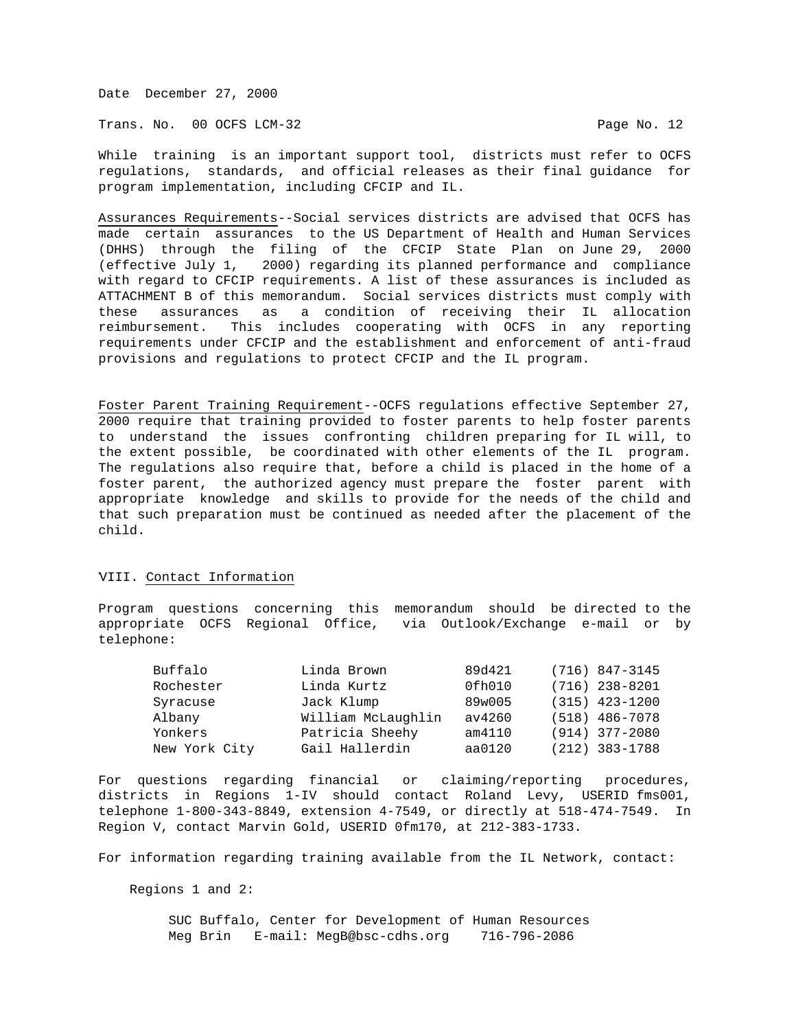Trans. No. 00 OCFS LCM-32 **Page No. 12** 

While training is an important support tool, districts must refer to OCFS regulations, standards, and official releases as their final guidance for program implementation, including CFCIP and IL.

Assurances Requirements--Social services districts are advised that OCFS has made certain assurances to the US Department of Health and Human Services (DHHS) through the filing of the CFCIP State Plan on June 29, 2000 (effective July 1, 2000) regarding its planned performance and compliance with regard to CFCIP requirements. A list of these assurances is included as ATTACHMENT B of this memorandum. Social services districts must comply with these assurances as a condition of receiving their IL allocation reimbursement. This includes cooperating with OCFS in any reporting requirements under CFCIP and the establishment and enforcement of anti-fraud provisions and regulations to protect CFCIP and the IL program.

Foster Parent Training Requirement--OCFS regulations effective September 27, 2000 require that training provided to foster parents to help foster parents to understand the issues confronting children preparing for IL will, to the extent possible, be coordinated with other elements of the IL program. The regulations also require that, before a child is placed in the home of a foster parent, the authorized agency must prepare the foster parent with appropriate knowledge and skills to provide for the needs of the child and that such preparation must be continued as needed after the placement of the child.

# VIII. Contact Information

Program questions concerning this memorandum should be directed to the appropriate OCFS Regional Office, via Outlook/Exchange e-mail or by telephone:

| Buffalo       | Linda Brown        | 89d421 | $(716)$ 847-3145   |
|---------------|--------------------|--------|--------------------|
| Rochester     | Linda Kurtz        | 0fh010 | $(716)$ 238-8201   |
| Syracuse      | Jack Klump         | 89w005 | $(315)$ 423-1200   |
| Albany        | William McLaughlin | av4260 | (518) 486-7078     |
| Yonkers       | Patricia Sheehy    | am4110 | $(914) 377 - 2080$ |
| New York City | Gail Hallerdin     | aa0120 | (212) 383-1788     |

For questions regarding financial or claiming/reporting procedures, districts in Regions 1-IV should contact Roland Levy, USERID fms001, telephone 1-800-343-8849, extension 4-7549, or directly at 518-474-7549. In Region V, contact Marvin Gold, USERID 0fm170, at 212-383-1733.

For information regarding training available from the IL Network, contact:

Regions 1 and 2:

 SUC Buffalo, Center for Development of Human Resources Meg Brin E-mail: MegB@bsc-cdhs.org 716-796-2086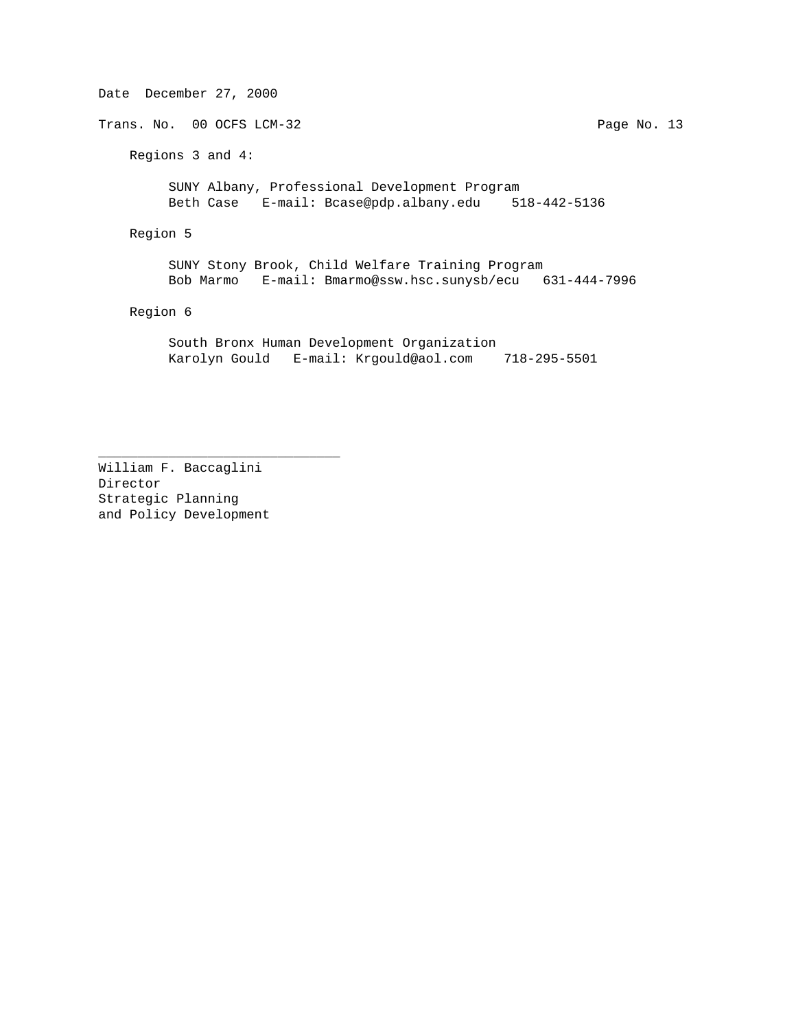Date December 27, 2000 Trans. No. 00 OCFS LCM-32 Page No. 13 Regions 3 and 4: SUNY Albany, Professional Development Program Beth Case E-mail: Bcase@pdp.albany.edu 518-442-5136 Region 5 SUNY Stony Brook, Child Welfare Training Program Bob Marmo E-mail: Bmarmo@ssw.hsc.sunysb/ecu 631-444-7996 Region 6 South Bronx Human Development Organization Karolyn Gould E-mail: Krgould@aol.com 718-295-5501

William F. Baccaglini Director Strategic Planning and Policy Development

\_\_\_\_\_\_\_\_\_\_\_\_\_\_\_\_\_\_\_\_\_\_\_\_\_\_\_\_\_\_\_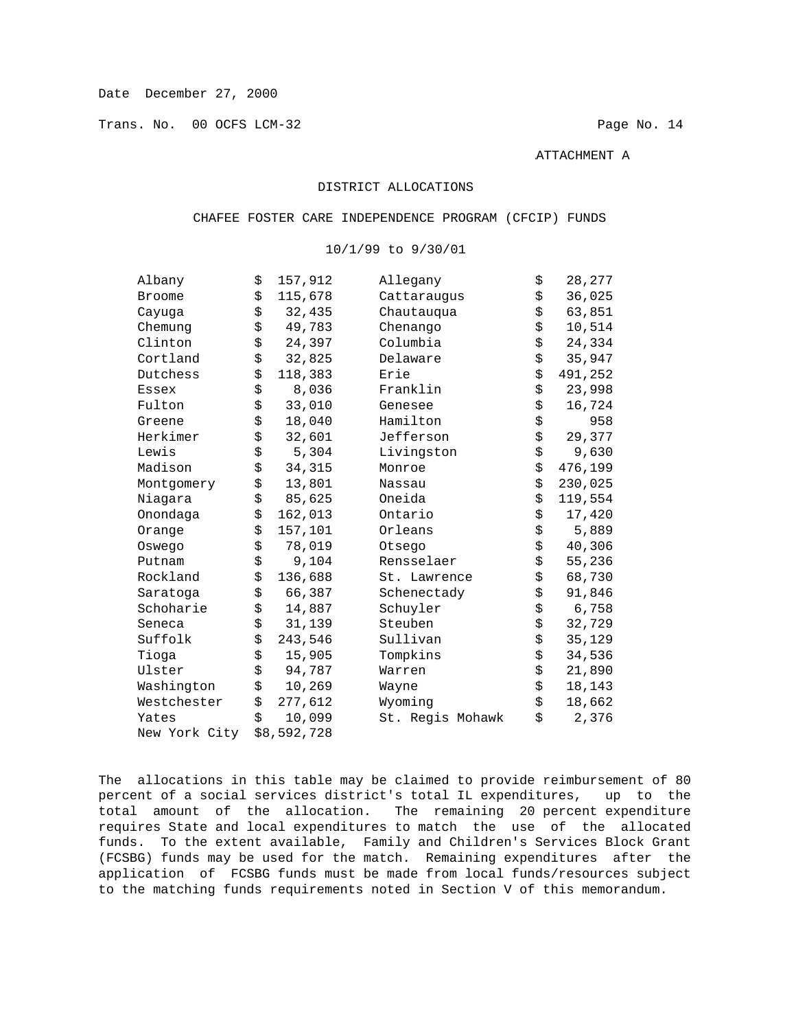Trans. No. 00 OCFS LCM-32 Page No. 14

ATTACHMENT A

# DISTRICT ALLOCATIONS

## CHAFEE FOSTER CARE INDEPENDENCE PROGRAM (CFCIP) FUNDS

| Albany        | \$<br>157,912 | Allegany         | \$<br>28,277  |
|---------------|---------------|------------------|---------------|
| <b>Broome</b> | \$<br>115,678 | Cattaraugus      | \$<br>36,025  |
| Cayuqa        | \$<br>32,435  | Chautauqua       | \$<br>63,851  |
| Chemung       | \$<br>49,783  | Chenango         | \$<br>10,514  |
| Clinton       | \$<br>24,397  | Columbia         | \$<br>24,334  |
| Cortland      | \$<br>32,825  | Delaware         | \$<br>35,947  |
| Dutchess      | \$<br>118,383 | Erie             | \$<br>491,252 |
| Essex         | \$<br>8,036   | Franklin         | \$<br>23,998  |
| Fulton        | \$<br>33,010  | Genesee          | \$<br>16,724  |
| Greene        | \$<br>18,040  | Hamilton         | \$<br>958     |
| Herkimer      | \$<br>32,601  | Jefferson        | \$<br>29,377  |
| Lewis         | \$<br>5,304   | Livingston       | \$<br>9,630   |
| Madison       | \$<br>34,315  | Monroe           | \$<br>476,199 |
| Montgomery    | \$<br>13,801  | Nassau           | \$<br>230,025 |
| Niagara       | \$<br>85,625  | Oneida           | \$<br>119,554 |
| Onondaga      | \$<br>162,013 | Ontario          | \$<br>17,420  |
| Orange        | \$<br>157,101 | Orleans          | \$<br>5,889   |
| Oswego        | \$<br>78,019  | Otsego           | \$<br>40,306  |
| Putnam        | \$<br>9,104   | Rensselaer       | \$<br>55,236  |
| Rockland      | \$<br>136,688 | St. Lawrence     | \$<br>68,730  |
| Saratoga      | \$<br>66,387  | Schenectady      | \$<br>91,846  |
| Schoharie     | \$<br>14,887  | Schuyler         | \$<br>6,758   |
| Seneca        | \$<br>31,139  | Steuben          | \$<br>32,729  |
| Suffolk       | \$<br>243,546 | Sullivan         | \$<br>35,129  |
| Tioga         | \$<br>15,905  | Tompkins         | \$<br>34,536  |
| Ulster        | \$<br>94,787  | Warren           | \$<br>21,890  |
| Washington    | \$<br>10,269  | Wayne            | \$<br>18,143  |
| Westchester   | \$<br>277,612 | Wyoming          | \$<br>18,662  |
| Yates         | \$<br>10,099  | St. Regis Mohawk | \$<br>2,376   |
| New York City | \$8,592,728   |                  |               |
|               |               |                  |               |

# 10/1/99 to 9/30/01

The allocations in this table may be claimed to provide reimbursement of 80 percent of a social services district's total IL expenditures, up to the total amount of the allocation. The remaining 20 percent expenditure requires State and local expenditures to match the use of the allocated funds. To the extent available, Family and Children's Services Block Grant (FCSBG) funds may be used for the match. Remaining expenditures after the application of FCSBG funds must be made from local funds/resources subject to the matching funds requirements noted in Section V of this memorandum.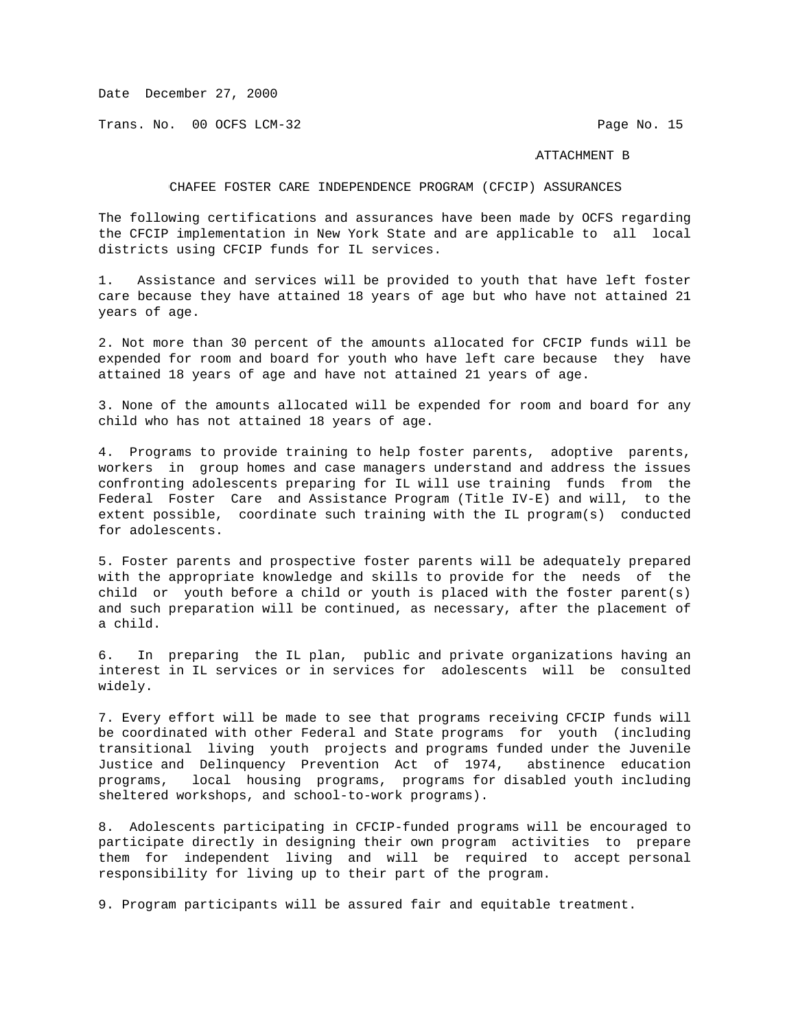Trans. No. 00 OCFS LCM-32 **Page No. 15** 

## ATTACHMENT B

# CHAFEE FOSTER CARE INDEPENDENCE PROGRAM (CFCIP) ASSURANCES

The following certifications and assurances have been made by OCFS regarding the CFCIP implementation in New York State and are applicable to all local districts using CFCIP funds for IL services.

1. Assistance and services will be provided to youth that have left foster care because they have attained 18 years of age but who have not attained 21 years of age.

2. Not more than 30 percent of the amounts allocated for CFCIP funds will be expended for room and board for youth who have left care because they have attained 18 years of age and have not attained 21 years of age.

3. None of the amounts allocated will be expended for room and board for any child who has not attained 18 years of age.

4. Programs to provide training to help foster parents, adoptive parents, workers in group homes and case managers understand and address the issues confronting adolescents preparing for IL will use training funds from the Federal Foster Care and Assistance Program (Title IV-E) and will, to the extent possible, coordinate such training with the IL program(s) conducted for adolescents.

5. Foster parents and prospective foster parents will be adequately prepared with the appropriate knowledge and skills to provide for the needs of the child or youth before a child or youth is placed with the foster parent(s) and such preparation will be continued, as necessary, after the placement of a child.

6. In preparing the IL plan, public and private organizations having an interest in IL services or in services for adolescents will be consulted widely.

7. Every effort will be made to see that programs receiving CFCIP funds will be coordinated with other Federal and State programs for youth (including transitional living youth projects and programs funded under the Juvenile Justice and Delinquency Prevention Act of 1974, abstinence education programs, local housing programs, programs for disabled youth including sheltered workshops, and school-to-work programs).

8. Adolescents participating in CFCIP-funded programs will be encouraged to participate directly in designing their own program activities to prepare them for independent living and will be required to accept personal responsibility for living up to their part of the program.

9. Program participants will be assured fair and equitable treatment.